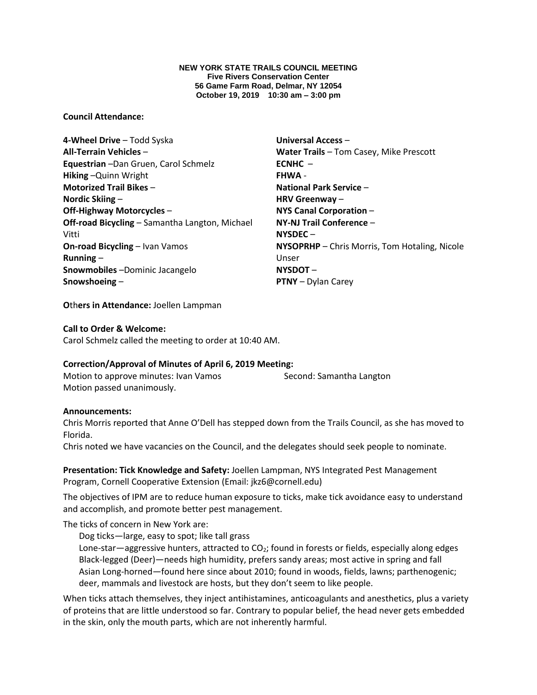**NEW YORK STATE TRAILS COUNCIL MEETING Five Rivers Conservation Center 56 Game Farm Road, Delmar, NY 12054 October 19, 2019 10:30 am – 3:00 pm**

#### **Council Attendance:**

**4-Wheel Drive** – Todd Syska **All-Terrain Vehicles** – **Equestrian** –Dan Gruen, Carol Schmelz **Hiking** –Quinn Wright **Motorized Trail Bikes** – **Nordic Skiing** – **Off-Highway Motorcycles** – **Off-road Bicycling** – Samantha Langton, Michael Vitti **On-road Bicycling** – Ivan Vamos **Running** – **Snowmobiles** –Dominic Jacangelo **Snowshoeing** –

**Universal Access** – **Water Trails** – Tom Casey, Mike Prescott **ECNHC** – **FHWA** - **National Park Service** – **HRV Greenway** – **NYS Canal Corporation** – **NY-NJ Trail Conference** – **NYSDEC** – **NYSOPRHP** – Chris Morris, Tom Hotaling, Nicole Unser **NYSDOT** – **PTNY** – Dylan Carey

**O**th**ers in Attendance:** Joellen Lampman

#### **Call to Order & Welcome:**

Carol Schmelz called the meeting to order at 10:40 AM.

## **Correction/Approval of Minutes of April 6, 2019 Meeting:**

Motion to approve minutes: Ivan Vamos Second: Samantha Langton Motion passed unanimously.

#### **Announcements:**

Chris Morris reported that Anne O'Dell has stepped down from the Trails Council, as she has moved to Florida.

Chris noted we have vacancies on the Council, and the delegates should seek people to nominate.

**Presentation: Tick Knowledge and Safety:** Joellen Lampman, NYS Integrated Pest Management Program, Cornell Cooperative Extension (Email: jkz6@cornell.edu)

The objectives of IPM are to reduce human exposure to ticks, make tick avoidance easy to understand and accomplish, and promote better pest management.

The ticks of concern in New York are:

Dog ticks—large, easy to spot; like tall grass

Lone-star—aggressive hunters, attracted to CO<sub>2</sub>; found in forests or fields, especially along edges Black-legged (Deer)—needs high humidity, prefers sandy areas; most active in spring and fall Asian Long-horned—found here since about 2010; found in woods, fields, lawns; parthenogenic; deer, mammals and livestock are hosts, but they don't seem to like people.

When ticks attach themselves, they inject antihistamines, anticoagulants and anesthetics, plus a variety of proteins that are little understood so far. Contrary to popular belief, the head never gets embedded in the skin, only the mouth parts, which are not inherently harmful.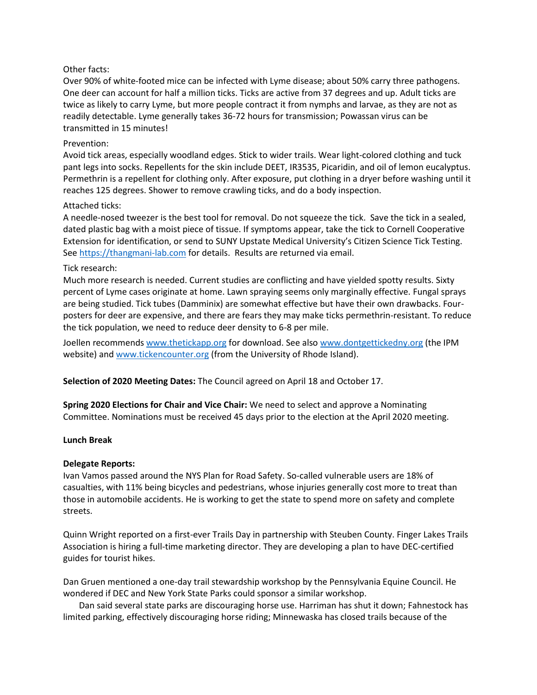# Other facts:

Over 90% of white-footed mice can be infected with Lyme disease; about 50% carry three pathogens. One deer can account for half a million ticks. Ticks are active from 37 degrees and up. Adult ticks are twice as likely to carry Lyme, but more people contract it from nymphs and larvae, as they are not as readily detectable. Lyme generally takes 36-72 hours for transmission; Powassan virus can be transmitted in 15 minutes!

# Prevention:

Avoid tick areas, especially woodland edges. Stick to wider trails. Wear light-colored clothing and tuck pant legs into socks. Repellents for the skin include DEET, IR3535, Picaridin, and oil of lemon eucalyptus. Permethrin is a repellent for clothing only. After exposure, put clothing in a dryer before washing until it reaches 125 degrees. Shower to remove crawling ticks, and do a body inspection.

## Attached ticks:

A needle-nosed tweezer is the best tool for removal. Do not squeeze the tick. Save the tick in a sealed, dated plastic bag with a moist piece of tissue. If symptoms appear, take the tick to Cornell Cooperative Extension for identification, or send to SUNY Upstate Medical University's Citizen Science Tick Testing. Se[e https://thangmani-lab.com](https://thangmani-lab.com/) for details. Results are returned via email.

## Tick research:

Much more research is needed. Current studies are conflicting and have yielded spotty results. Sixty percent of Lyme cases originate at home. Lawn spraying seems only marginally effective. Fungal sprays are being studied. Tick tubes (Damminix) are somewhat effective but have their own drawbacks. Fourposters for deer are expensive, and there are fears they may make ticks permethrin-resistant. To reduce the tick population, we need to reduce deer density to 6-8 per mile.

Joellen recommend[s www.thetickapp.org](http://www.thetickapp.org/) for download. See also [www.dontgettickedny.org](http://www.dontgettickedny.org/) (the IPM website) and [www.tickencounter.org](http://www.tickencounter.org/) (from the University of Rhode Island).

**Selection of 2020 Meeting Dates:** The Council agreed on April 18 and October 17.

**Spring 2020 Elections for Chair and Vice Chair:** We need to select and approve a Nominating Committee. Nominations must be received 45 days prior to the election at the April 2020 meeting.

## **Lunch Break**

## **Delegate Reports:**

Ivan Vamos passed around the NYS Plan for Road Safety. So-called vulnerable users are 18% of casualties, with 11% being bicycles and pedestrians, whose injuries generally cost more to treat than those in automobile accidents. He is working to get the state to spend more on safety and complete streets.

Quinn Wright reported on a first-ever Trails Day in partnership with Steuben County. Finger Lakes Trails Association is hiring a full-time marketing director. They are developing a plan to have DEC-certified guides for tourist hikes.

Dan Gruen mentioned a one-day trail stewardship workshop by the Pennsylvania Equine Council. He wondered if DEC and New York State Parks could sponsor a similar workshop.

Dan said several state parks are discouraging horse use. Harriman has shut it down; Fahnestock has limited parking, effectively discouraging horse riding; Minnewaska has closed trails because of the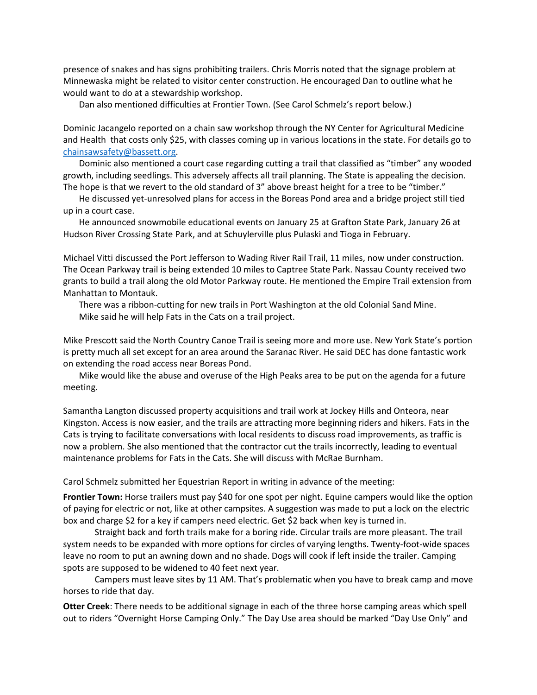presence of snakes and has signs prohibiting trailers. Chris Morris noted that the signage problem at Minnewaska might be related to visitor center construction. He encouraged Dan to outline what he would want to do at a stewardship workshop.

Dan also mentioned difficulties at Frontier Town. (See Carol Schmelz's report below.)

Dominic Jacangelo reported on a chain saw workshop through the NY Center for Agricultural Medicine and Health that costs only \$25, with classes coming up in various locations in the state. For details go to [chainsawsafety@bassett.org.](mailto:chainsawsafety@bassett.org)

Dominic also mentioned a court case regarding cutting a trail that classified as "timber" any wooded growth, including seedlings. This adversely affects all trail planning. The State is appealing the decision. The hope is that we revert to the old standard of 3" above breast height for a tree to be "timber."

He discussed yet-unresolved plans for access in the Boreas Pond area and a bridge project still tied up in a court case.

He announced snowmobile educational events on January 25 at Grafton State Park, January 26 at Hudson River Crossing State Park, and at Schuylerville plus Pulaski and Tioga in February.

Michael Vitti discussed the Port Jefferson to Wading River Rail Trail, 11 miles, now under construction. The Ocean Parkway trail is being extended 10 miles to Captree State Park. Nassau County received two grants to build a trail along the old Motor Parkway route. He mentioned the Empire Trail extension from Manhattan to Montauk.

There was a ribbon-cutting for new trails in Port Washington at the old Colonial Sand Mine. Mike said he will help Fats in the Cats on a trail project.

Mike Prescott said the North Country Canoe Trail is seeing more and more use. New York State's portion is pretty much all set except for an area around the Saranac River. He said DEC has done fantastic work on extending the road access near Boreas Pond.

Mike would like the abuse and overuse of the High Peaks area to be put on the agenda for a future meeting.

Samantha Langton discussed property acquisitions and trail work at Jockey Hills and Onteora, near Kingston. Access is now easier, and the trails are attracting more beginning riders and hikers. Fats in the Cats is trying to facilitate conversations with local residents to discuss road improvements, as traffic is now a problem. She also mentioned that the contractor cut the trails incorrectly, leading to eventual maintenance problems for Fats in the Cats. She will discuss with McRae Burnham.

Carol Schmelz submitted her Equestrian Report in writing in advance of the meeting:

**Frontier Town:** Horse trailers must pay \$40 for one spot per night. Equine campers would like the option of paying for electric or not, like at other campsites. A suggestion was made to put a lock on the electric box and charge \$2 for a key if campers need electric. Get \$2 back when key is turned in.

Straight back and forth trails make for a boring ride. Circular trails are more pleasant. The trail system needs to be expanded with more options for circles of varying lengths. Twenty-foot-wide spaces leave no room to put an awning down and no shade. Dogs will cook if left inside the trailer. Camping spots are supposed to be widened to 40 feet next year.

Campers must leave sites by 11 AM. That's problematic when you have to break camp and move horses to ride that day.

**Otter Creek**: There needs to be additional signage in each of the three horse camping areas which spell out to riders "Overnight Horse Camping Only." The Day Use area should be marked "Day Use Only" and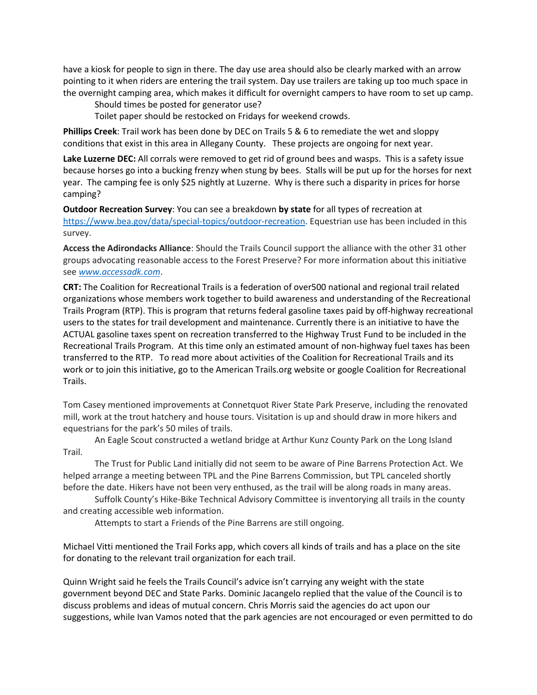have a kiosk for people to sign in there. The day use area should also be clearly marked with an arrow pointing to it when riders are entering the trail system. Day use trailers are taking up too much space in the overnight camping area, which makes it difficult for overnight campers to have room to set up camp.

Should times be posted for generator use?

Toilet paper should be restocked on Fridays for weekend crowds.

**Phillips Creek**: Trail work has been done by DEC on Trails 5 & 6 to remediate the wet and sloppy conditions that exist in this area in Allegany County. These projects are ongoing for next year.

**Lake Luzerne DEC:** All corrals were removed to get rid of ground bees and wasps. This is a safety issue because horses go into a bucking frenzy when stung by bees. Stalls will be put up for the horses for next year. The camping fee is only \$25 nightly at Luzerne. Why is there such a disparity in prices for horse camping?

**Outdoor Recreation Survey**: You can see a breakdown **by state** for all types of recreation at [https://www.bea.gov/data/special-topics/outdoor-recreation.](https://www.bea.gov/data/special-topics/outdoor-recreation) Equestrian use has been included in this survey.

**Access the Adirondacks Alliance**: Should the Trails Council support the alliance with the other 31 other groups advocating reasonable access to the Forest Preserve? For more information about this initiative see *[www.accessadk.com](http://www.accessadk.com/)*.

**CRT:** The Coalition for Recreational Trails is a federation of over500 national and regional trail related organizations whose members work together to build awareness and understanding of the Recreational Trails Program (RTP). This is program that returns federal gasoline taxes paid by off-highway recreational users to the states for trail development and maintenance. Currently there is an initiative to have the ACTUAL gasoline taxes spent on recreation transferred to the Highway Trust Fund to be included in the Recreational Trails Program. At this time only an estimated amount of non-highway fuel taxes has been transferred to the RTP. To read more about activities of the Coalition for Recreational Trails and its work or to join this initiative, go to the American Trails.org website or google Coalition for Recreational Trails.

Tom Casey mentioned improvements at Connetquot River State Park Preserve, including the renovated mill, work at the trout hatchery and house tours. Visitation is up and should draw in more hikers and equestrians for the park's 50 miles of trails.

An Eagle Scout constructed a wetland bridge at Arthur Kunz County Park on the Long Island Trail.

The Trust for Public Land initially did not seem to be aware of Pine Barrens Protection Act. We helped arrange a meeting between TPL and the Pine Barrens Commission, but TPL canceled shortly before the date. Hikers have not been very enthused, as the trail will be along roads in many areas.

Suffolk County's Hike-Bike Technical Advisory Committee is inventorying all trails in the county and creating accessible web information.

Attempts to start a Friends of the Pine Barrens are still ongoing.

Michael Vitti mentioned the Trail Forks app, which covers all kinds of trails and has a place on the site for donating to the relevant trail organization for each trail.

Quinn Wright said he feels the Trails Council's advice isn't carrying any weight with the state government beyond DEC and State Parks. Dominic Jacangelo replied that the value of the Council is to discuss problems and ideas of mutual concern. Chris Morris said the agencies do act upon our suggestions, while Ivan Vamos noted that the park agencies are not encouraged or even permitted to do